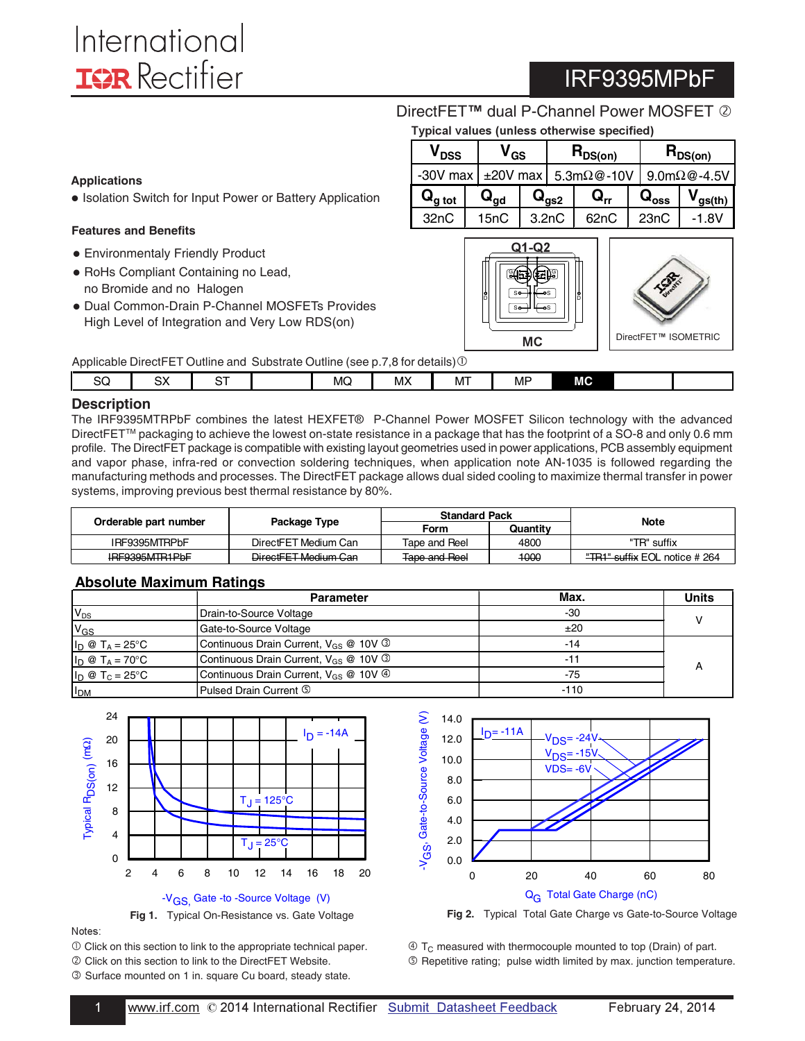**• [Environmentaly Friendly Prod](http://www.irf.com/technical-info/appnotes/an-1050.pdf)uct** - RoHs Compliant Containing no Lead, no Bromide and no Halogen

**Features and Benefits**

**Applications**

# IRF9395MPbF

DirectF[ET](http://www.irf.com/product-info/hexfet/directfet.htm)<sup>™</sup> dual P-Channel Power MOSFET 2

|  | Typical values (unless otherwise specified) |  |
|--|---------------------------------------------|--|
|--|---------------------------------------------|--|

| $\bm{{\mathsf{V}}}_{\mathsf{DSS}}$ |  | / <sub>GS</sub>            |                                    |                             |                | ${\sf R}_{\sf DS(on)}$ |                     |              | $\mathsf{R}_{\mathsf{DS}(\mathsf{on})}$ |
|------------------------------------|--|----------------------------|------------------------------------|-----------------------------|----------------|------------------------|---------------------|--------------|-----------------------------------------|
| $-30V$ max                         |  |                            | $\pm 20V$ max 5.3m $\Omega$ @ -10V |                             |                |                        | $9.0m\Omega$ @-4.5V |              |                                         |
| $\mathbf{Q}_{\text{g tot}}$        |  | $\mathbf{Q}_{\mathsf{qd}}$ |                                    | $\mathbf{Q}_{\mathsf{qs2}}$ | ${\bf Q_{rr}}$ |                        | $Q_{\rm{oss}}$      | $V_{gs(th)}$ |                                         |
| 32 <sub>n</sub> C                  |  | 15nC                       |                                    | 3.2nC                       | 62nC           |                        | 23nC                | -1 8V        |                                         |





Applicable DirectFET Outline and Substrate Outline (see p.7.8 for de[tail](http://www.irf.com/technical-info/appnotes/an-1035.pdf)s) $\odot$ 

- Dual Common-Drain P-Channel MOSFETs Provides High Level of Integration and Very Low RDS(on)

**.** [Isolation Switch for Input Power or Battery Applica](http://www.irf.com/technical-info/appnotes/an-1050.pdf)tion

| - - - - - - |          | __<br>____<br>___        | _____<br>---- | ___ | --- | .                              |           |           |  |
|-------------|----------|--------------------------|---------------|-----|-----|--------------------------------|-----------|-----------|--|
| SQ          | nv<br>ວ∧ | $-$<br>. .<br><u>-</u> - |               | MQ  | МX  | $\overline{\phantom{a}}$<br>MI | <b>MF</b> | <b>MC</b> |  |
|             |          |                          |               |     |     |                                |           |           |  |

#### **Description**

The IRF9395MTRPbF combines the latest HEXFET® P-Channel Power MOSFET Silicon technology with the advanced DirectFET™ packaging to achieve the lowest on-state resistance in a package that has the footprint of a SO-8 and only 0.6 mm profile. The DirectFET package is compatible with existing layout geometries used in power applications, PCB assembly equipment and vapor phase, infra-red or convection soldering techniques, when application note AN-1035 is followed regarding the manufacturing methods and processes. The DirectFET package allows dual sided cooling to maximize thermal transfer in power systems, improving previous best thermal resistance by 80%.

|                       |                      | <b>Standard Pack</b> |          | Note                                     |
|-----------------------|----------------------|----------------------|----------|------------------------------------------|
| Orderable part number | Package Type         | Form                 | Quantity |                                          |
| IRF9395MTRPbF         | DirectFET Medium Can | Tape and Reel        | 4800     | "TR" suffix                              |
| IRE9395MTR1PbE        | DirectFET Medium Can | Tape and Reel        | 1000     | <del>"TR1" suffix</del> EOL notice # 264 |

### **Absolute Maximum Ratings**

|                                 | <b>Parameter</b>                                        | Max.   | <b>Units</b> |
|---------------------------------|---------------------------------------------------------|--------|--------------|
| $V_{DS}$                        | Drain-to-Source Voltage                                 | -30    |              |
| $V_{GS}$                        | Gate-to-Source Voltage                                  | ±20    |              |
| $I_D \otimes T_A = 25$ °C       | Continuous Drain Current, $V_{GS}$ @ 10V $\circled{}$   | $-14$  |              |
| $I_D \otimes T_A = 70$ °C       | Continuous Drain Current, $V_{GS}$ @ 10V $\circled{}$   | $-12$  |              |
| $I_D \otimes T_C = 25^{\circ}C$ | Continuous Drain Current, $V_{GS}$ @ 10V $\circledcirc$ | -75    |              |
| I <sub>DM</sub>                 | Pulsed Drain Current 5                                  | $-110$ |              |





-

 $\overline{0}$  [Click on this section to link to the appropriate technical pa](http://www.irf.com/technical-info/appnotes/an-1035.pdf)per.

 [Click on this section to link to the DirectFET We](http://www.irf.com/product-info/hexfet/directfet.htm)bsite. Surface mounted on 1 in. square Cu board, steady state.





 $\circled{1}$  T<sub>C</sub> measured with thermocouple mounted to top (Drain) of part.

Repetitive rating; pulse width limited by max. junction temperature.

Notes: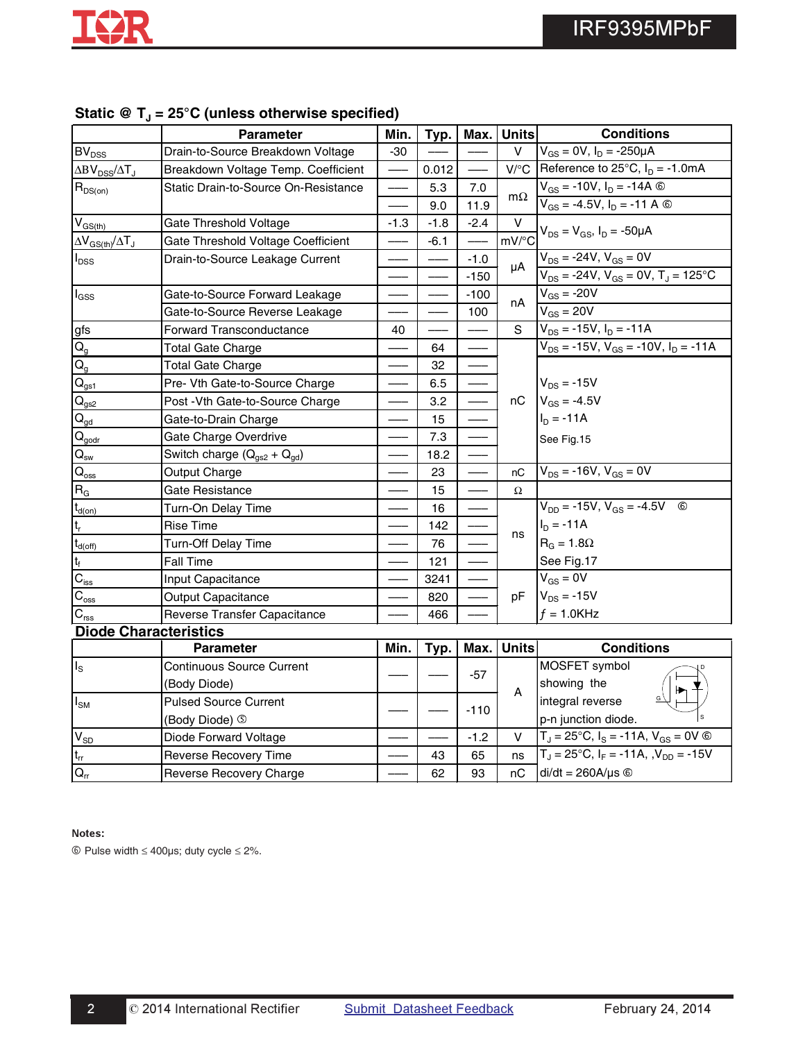|                                         | <b>Parameter</b>                     | Min.   | Typ.   | Max.   | <b>Units</b> | <b>Conditions</b>                                      |
|-----------------------------------------|--------------------------------------|--------|--------|--------|--------------|--------------------------------------------------------|
| $\mathsf{BV}_\mathsf{DSS}$              | Drain-to-Source Breakdown Voltage    | $-30$  |        |        | v            | $V_{GS} = 0V$ , $I_D = -250\mu A$                      |
| $\Delta BV_{DSS}/\Delta T_J$            | Breakdown Voltage Temp. Coefficient  |        | 0.012  |        | $V$ /°C      | Reference to $25^{\circ}$ C, $I_D = -1.0$ mA           |
| $R_{DS(on)}$                            | Static Drain-to-Source On-Resistance |        | 5.3    | 7.0    |              | $V_{GS} = -10V$ , $I_D = -14A$ ©                       |
|                                         |                                      |        | 9.0    | 11.9   | $m\Omega$    | $V_{GS}$ = -4.5V, $I_D$ = -11 A $\circledcirc$         |
| $V_{GS(th)}$                            | Gate Threshold Voltage               | $-1.3$ | $-1.8$ | $-2.4$ | $\vee$       | $V_{DS} = V_{GS}$ , $I_D = -50 \mu A$                  |
| $\Delta V_{GS(th)}/\Delta T_J$          | Gate Threshold Voltage Coefficient   |        | $-6.1$ |        | mV/°C        |                                                        |
| $I_{\text{DSS}}$                        | Drain-to-Source Leakage Current      |        |        | $-1.0$ | μA           | $V_{DS}$ = -24V, $V_{GS}$ = 0V                         |
|                                         |                                      |        |        | $-150$ |              | $V_{DS} = -24V$ , $V_{GS} = 0V$ , $T_J = 125^{\circ}C$ |
| $I_{GSS}$                               | Gate-to-Source Forward Leakage       |        |        | $-100$ |              | $V_{GS}$ = -20V                                        |
|                                         | Gate-to-Source Reverse Leakage       |        |        | 100    | nA           | $V_{GS} = 20V$                                         |
| gfs                                     | <b>Forward Transconductance</b>      | 40     |        |        | S            | $V_{DS}$ = -15V, $I_D$ = -11A                          |
| $Q_{g}$                                 | <b>Total Gate Charge</b>             |        | 64     |        |              | $V_{DS}$ = -15V, $V_{GS}$ = -10V, $I_D$ = -11A         |
| $Q_{q}$                                 | <b>Total Gate Charge</b>             |        | 32     |        |              |                                                        |
| $\mathsf{Q}_{\underline{\mathsf{gs1}}}$ | Pre- Vth Gate-to-Source Charge       |        | 6.5    |        |              | $V_{DS}$ = -15V                                        |
| $\mathsf{Q}_{\text{gs2}}$               | Post - Vth Gate-to-Source Charge     |        | 3.2    |        | nC           | $V_{GS} = -4.5V$                                       |
| $Q_{gd}$                                | Gate-to-Drain Charge                 |        | 15     |        |              | $I_D = -11A$                                           |
| $\mathbf{Q}_{\underline{\text{godr}}}$  | Gate Charge Overdrive                |        | 7.3    |        |              | See Fig.15                                             |
| $\mathsf{Q}_\mathsf{sw}$                | Switch charge $(Q_{gs2} + Q_{gd})$   |        | 18.2   |        |              |                                                        |
| $Q_{\rm oss}$                           | Output Charge                        |        | 23     |        | nC           | $V_{DS}$ = -16V, $V_{GS}$ = 0V                         |
| $R_G$                                   | Gate Resistance                      |        | 15     |        | Ω            |                                                        |
| $t_{d(on)}$                             | Turn-On Delay Time                   |        | 16     |        |              | $V_{DD}$ = -15V, $V_{GS}$ = -4.5V<br>$^{\circ}$        |
| t,                                      | <b>Rise Time</b>                     |        | 142    |        | ns           | $I_D = -11A$                                           |
| $t_{d(off)}$                            | Turn-Off Delay Time                  |        | 76     |        |              | $R_G = 1.8\Omega$                                      |
| t <sub>f</sub>                          | <b>Fall Time</b>                     |        | 121    |        |              | See Fig.17                                             |
| $\overline{C_{\rm{iss}}}$               | Input Capacitance                    |        | 3241   |        |              | $V_{GS} = 0V$                                          |
| $\mathbf{C}_{\mathrm{oss}}$             | <b>Output Capacitance</b>            |        | 820    |        | pF           | $V_{DS}$ = -15V                                        |
| $\mathbf{C}_{\mathrm{rss}}$             | Reverse Transfer Capacitance         |        | 466    |        |              | $f = 1.0$ KHz                                          |
| <b>Diode Characteristics</b>            |                                      |        |        |        |              |                                                        |
|                                         | <b>Parameter</b>                     | Min.   | Typ.   | Max.   | <b>Units</b> | <b>Conditions</b>                                      |
| $I_{\rm S}$                             | <b>Continuous Source Current</b>     |        |        | -57    |              | MOSFET symbol                                          |
|                                         | (Body Diode)                         |        |        |        | A            | showing the                                            |
| $I_{\text{SM}}$                         | <b>Pulsed Source Current</b>         |        |        | $-110$ |              | integral reverse                                       |
|                                         | (Body Diode) 5                       |        |        |        |              | p-n junction diode.                                    |
| $\mathsf{V}_{\mathsf{SD}}$              | Diode Forward Voltage                |        |        | $-1.2$ | $\vee$       | $T_J = 25^{\circ}C$ , $I_S = -11A$ , $V_{GS} = 0V$ ©   |
| $\mathsf{t}_{\mathsf{rr}}$              | <b>Reverse Recovery Time</b>         |        | 43     | 65     | ns           | $T_J = 25^{\circ}C$ , $I_F = -11A$ , $V_{DD} = -15V$   |
| $\mathsf{Q}_\mathsf{rr}$                | Reverse Recovery Charge              |        | 62     | 93     | nС           | $di/dt = 260A/\mu s$ ©                                 |

### Static @ T<sub>J</sub> = 25°C (unless otherwise specified)

#### Notes:

-

Pulse width ≤ 400μs; duty cycle ≤ 2%.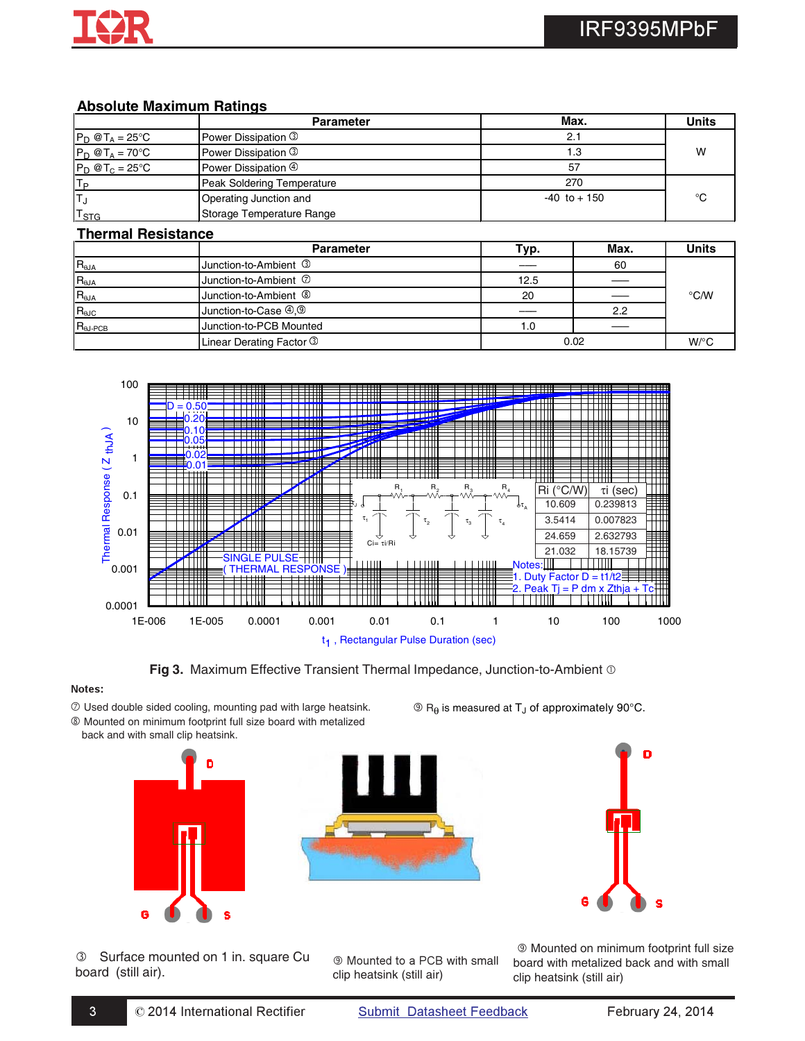### **Absolute Maximum Ratings**

|                           | <b>Parameter</b>           | Max.            | <b>Units</b> |
|---------------------------|----------------------------|-----------------|--------------|
| $P_D @T_A = 25^\circ C$   | Power Dissipation 3        | 2.1             |              |
| $P_D @T_A = 70^{\circ}C$  | Power Dissipation <b>3</b> |                 | w            |
| $P_D @T_C = 25°C$         | Power Dissipation 4        | 57              |              |
|                           | Peak Soldering Temperature | 270             |              |
|                           | Operating Junction and     | $-40$ to $+150$ | °C           |
| $\mathsf{T}_{\text{STG}}$ | Storage Temperature Range  |                 |              |

#### **Thermal Resistance**

|                           | <b>Parameter</b>                                    | Typ. | Max. | <b>Units</b>       |
|---------------------------|-----------------------------------------------------|------|------|--------------------|
| $R_{\theta$ JA            | Junction-to-Ambient 3                               |      | 60   |                    |
| $R_{\theta$ JA            | Junction-to-Ambient 2                               | 12.5 |      |                    |
| $R_{\theta JA}$           | Junction-to-Ambient <sup>®</sup>                    | 20   |      | $\degree$ C/W      |
| $R_{\theta$ JC            | Junction-to-Case $\textcircled{9}, \textcircled{9}$ |      | 2.2  |                    |
| $R_{\theta J\text{-PCB}}$ | Junction-to-PCB Mounted                             | 1.0  |      |                    |
|                           | Linear Derating Factor 3                            |      | 0.02 | $W$ <sup>o</sup> C |



Fig 3. Maximum Effective Transient Thermal Impedance, Junction-to-Ambient  $\odot$ 

<sup>®</sup> Mounted to a PCB with small

clip heatsink (still air)

### Notes:

- $O$  Used double sided cooling, mounting pad with large heatsink.
- Mounted on minimum footprint full size board with metalized back and with small clip heatsink.



Surface mounted on 1 in. square Cu board (still air).

 $\circledR$  R<sub> $\theta$ </sub> is measured at T<sub>J</sub> of approximately 90°C.



 Mounted on minimum footprint full size board with metalized back and with small clip heatsink (still air)

t 1 , Rectangular Pulse Duration (sec)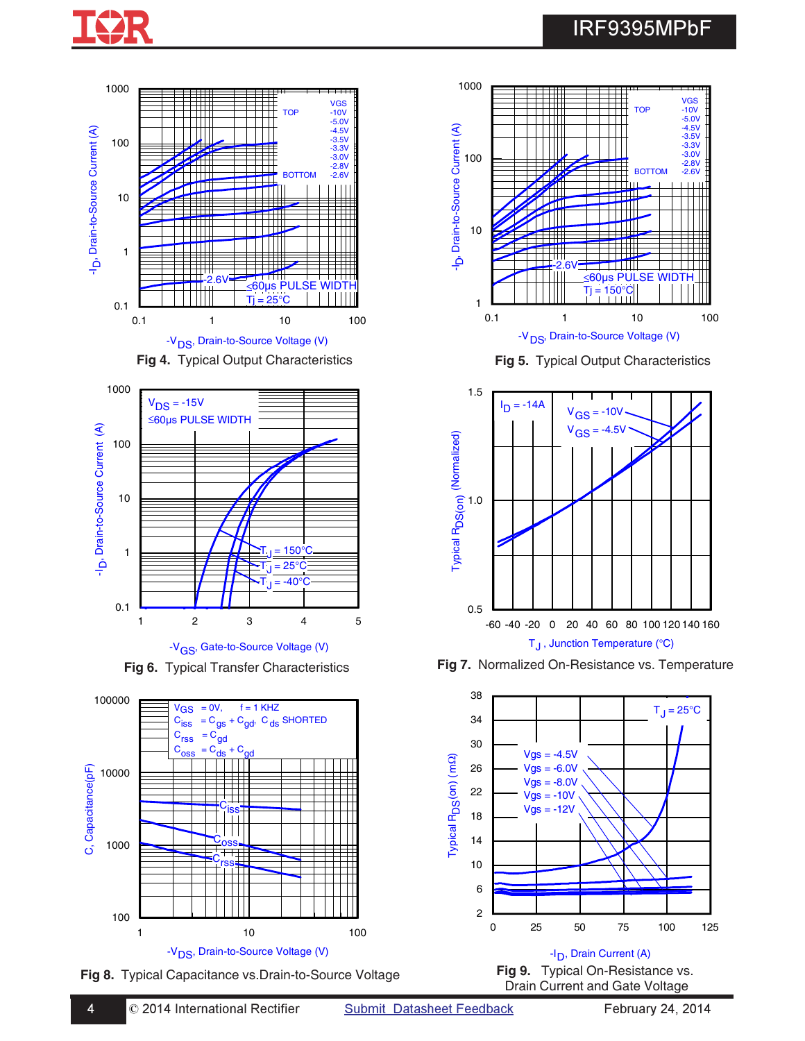

## IRF9395MPbF





-V<sub>GS</sub>, Gate-to-Source Voltage (V)









**Fig 6.** Typical Transfer Characteristics **Fig 7.** Normalized On-Resistance vs. Temperature



Drain Current and Gate Voltage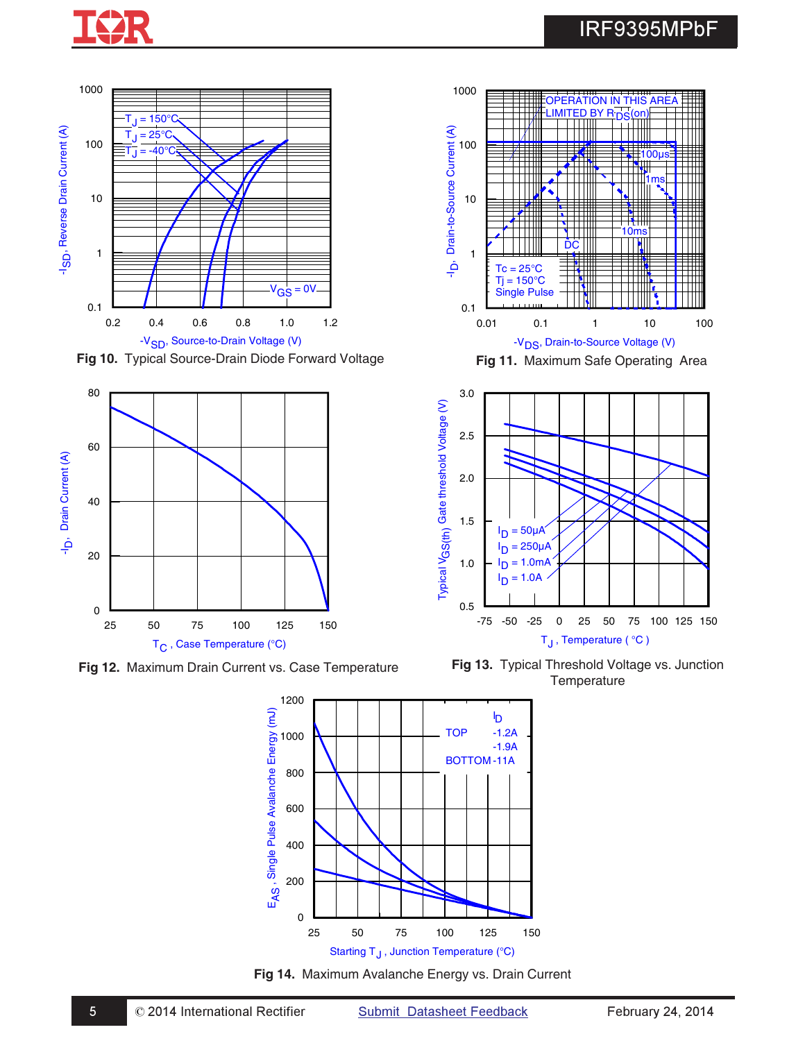

## IRF9395MPbF



Fig 10. Typical Source-Drain Diode Forward Voltage **Fig 11.** Maximum Safe Operating Area



**Fig 12.** Maximum Drain Current vs. Case Temperature





**Fig 13.** Typical Threshold Voltage vs. Junction **Temperature** 



**Fig 14.** Maximum Avalanche Energy vs. Drain Current

 $\degree$  2014 International Rectifier Submit Datasheet Feedback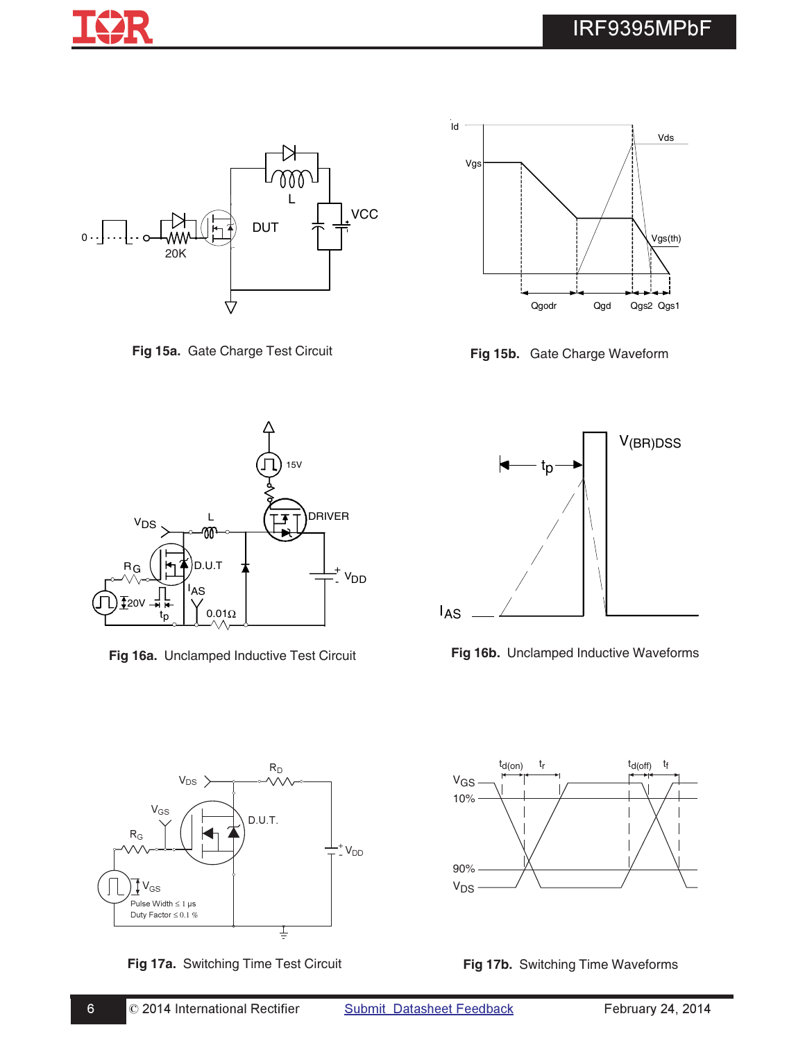



**Fig 15a.** Gate Charge Test Circuit **Fig 15b.** Gate Charge Waveform



**Fig 16a.** Unclamped Inductive Test Circuit **Fig 16b.** Unclamped Inductive Waveforms







#-



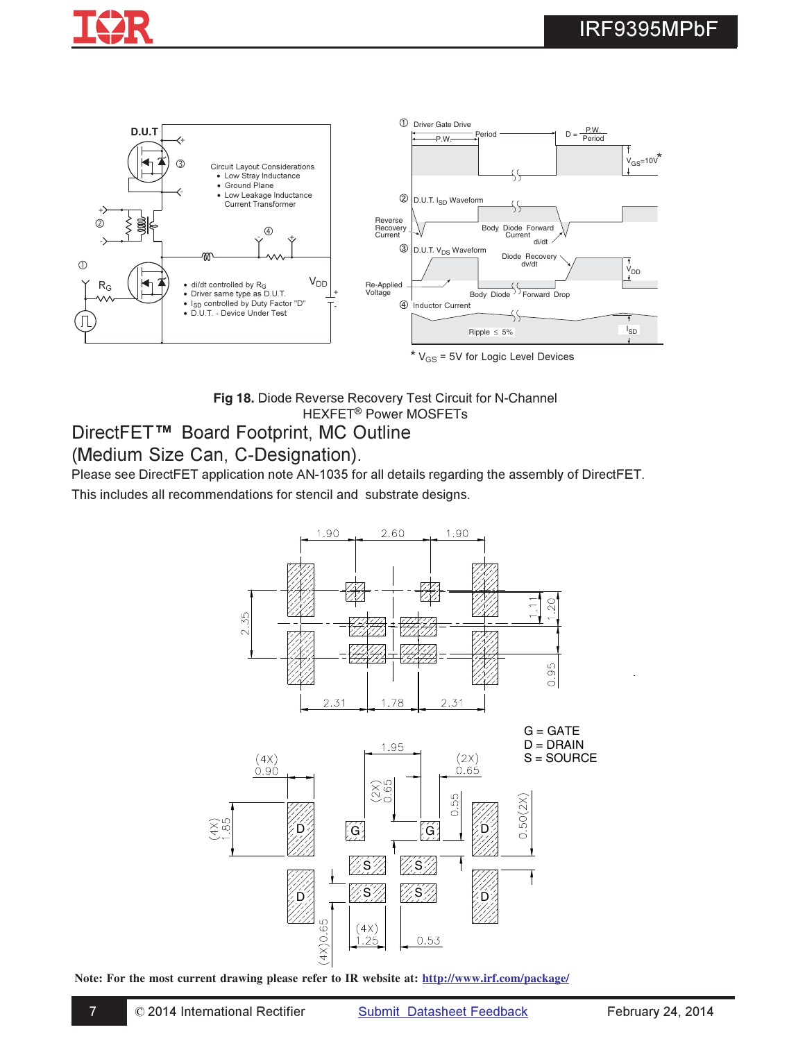

\$-



Fig 18. Diode Reverse Recovery Test Circuit for N-Channel HEXFET<sup>®</sup> Power MOSFETs

### DirectFET<sup>™</sup> Board Footprint, MC Outline

### (Medium Size Can, C-Designation).

Please see DirectFET application note AN-1035 for all details regarding the assembly of DirectFET. This includes all recommendations for stencil and substrate designs.



**Note: For the most current drawing please refer to IR website at: http://www.irf.com/package/**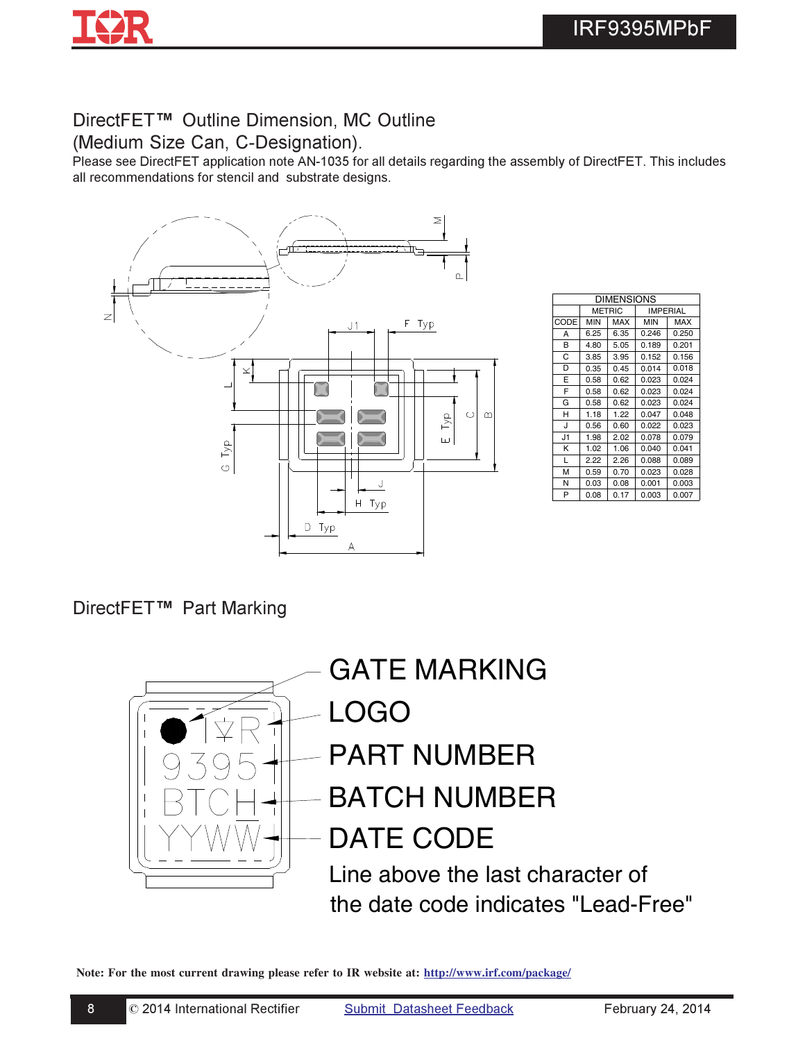

# DirectFET<sup>™</sup> Outline Dimension, MC Outline

(Medium Size Can, C-Designation).

Please see DirectFET application note AN-1035 for all details regarding the assembly of DirectFET. This includes all recommendations for stencil and substrate designs.



| <b>DIMENSIONS</b> |            |               |            |                 |  |
|-------------------|------------|---------------|------------|-----------------|--|
|                   |            | <b>METRIC</b> |            | <b>IMPERIAL</b> |  |
| CODE              | <b>MIN</b> | <b>MAX</b>    | <b>MIN</b> | MAX             |  |
| А                 | 6.25       | 6.35          | 0.246      | 0.250           |  |
| B                 | 4.80       | 5.05          | 0.189      | 0.201           |  |
| C                 | 3.85       | 3.95          | 0.152      | 0.156           |  |
| D                 | 0.35       | 0.45          | 0.014      | 0.018           |  |
| E                 | 0.58       | 0.62          | 0.023      | 0.024           |  |
| F                 | 0.58       | 0.62          | 0.023      | 0.024           |  |
| G                 | 0.58       | 0.62          | 0.023      | 0.024           |  |
| н                 | 1.18       | 1.22          | 0.047      | 0.048           |  |
| J                 | 0.56       | 0.60          | 0.022      | 0.023           |  |
| J1                | 1.98       | 2.02          | 0.078      | 0.079           |  |
| ĸ                 | 1.02       | 1.06          | 0.040      | 0.041           |  |
| L                 | 2.22       | 2.26          | 0.088      | 0.089           |  |
| M                 | 0.59       | 0.70          | 0.023      | 0.028           |  |
| N                 | 0.03       | 0.08          | 0.001      | 0.003           |  |
| P                 | 0.08       | 0.17          | 0.003      | 0.007           |  |

**DirectFET™ Part Marking** 



**Note: For the most current drawing please refer to IR website at: http://www.irf.com/package/**